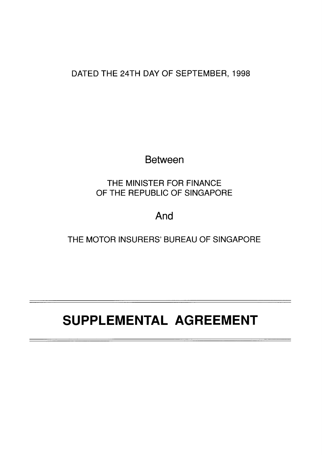DATED THE 24TH DAY OF SEPTEMBER, 1998

Between

THE MINISTER FOR FINANCE OF THE REPUBLIC OF SINGAPORE

And

THE MOTOR INSURERS' BUREAU OF SINGAPORE

# **SUPPLEMENTAL AGREEMENT**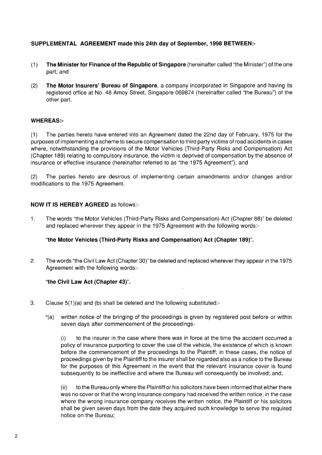## **SUPPLEMENTAL AGREEMENT made this 24th day of September, 1998 BETWEEN:-**

- (1) **The Minister for Finance of the Republic of Singapore** (hereinafter called "the Minister") of the one part; and
- (2) **The Motor Insurers' Bureau of Singapore,** a company incorporated in Singapore and having its registered office at No. 48 Amoy Street, Singapore 069874 (hereinafter called "the Bureau") of the other part.

### **WHEREAS:-**

(1) The parties hereto have entered into an Agreement dated the 22nd day of February, 1975 for the purposes of implementing a scheme to secure compensation to third party victims of road accidents in cases where, notwithstanding the provisions of the Motor Vehicles (Third-Party Risks and Compensation) Act (Chapter 189) relating to compulsory insurance, the victim is deprived of compensation by the absence of insurance or effective insurance (hereinafter referred to as "the 1975 Agreement"); and

(2) The parties hereto are desirous of implementing certain amendments and/or changes and/or modifications to the 1975 Agreement.

#### **NOW IT IS HEREBY AGREED** as follows:-

1. The words "the Motor Vehicles (Third-Party Risks and Compensation) Act (Chapter 88)" be deleted and replaced wherever they appear in the 1975 Agreement with the following words:-

#### **"the Motor Vehicles (Third-Party Risks and Compensation) Act (Chapter 189)".**

2. The words "the Civil Law Act (Chapter 30)" be deleted and replaced wherever they appear in the 1975 Agreement with the following words:-

#### **"the Civil Law Act (Chapter 43)".**

- 3. Clause 5(1 )(a) and (b) shall be deleted and the following substituted:-
	- "(a) written notice of the bringing of the proceedings is given by registered post before or within seven days after commencement of the proceedings-

(i) to the insurer in the case where there was in force at the time the accident occurred a policy of insurance purporting to cover the use of the vehicle, the existence of which is known before the commencement of the proceedings to the Plaintiff; in these cases, the notice of proceedings given by the Plaintiff to the insurer shall be regarded also as a notice to the Bureau for the purposes of this Agreement in the event that the relevant insurance cover is found subsequently to be ineffective and where the Bureau will consequently be involved; and,

(ii) to the Bureau only where the Plaintiff or his solicitors have been informed that either there was no cover or that the wrong insurance company had received the written notice; in the case where the wrong insurance company receives the written notice, the Plaintiff or his solicitors shall be given seven days from the date they acquired such knowledge to serve the required notice on the Bureau;